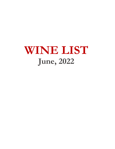# **WINE LIST June, 2022**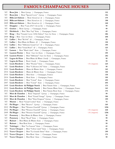# **FAMOUS CHAMPAGNE HOUSES**

| NV   | <b>Beau Joie</b>   Brut <i>Epernay</i>   Champagne, France                         |               | 132  |
|------|------------------------------------------------------------------------------------|---------------|------|
| NV   | <b>Beau Joie</b>   Rosé "Special Cuvée" <i>Epernay</i>   Champagne, France         |               | 156  |
| NV   | Billecart-Salmon   Rosé Mareuil-sur-Aÿ   Champagne, France                         |               | 179  |
| 2002 | Billecart-Salmon   Brut Mareuil-sur-Aÿ   Champagne, France                         |               | 390  |
| 2009 | Billecart-Salmon   Brut Mareuil-sur-Aÿ   Champagne, France                         |               | 240  |
| NV   | <b>Drappier</b>   Brut "Carte d'Or" Côte des Bar   Champagne, France               |               | 99   |
| NV   | Gratien   Rosé Epernay   Champagne, France                                         |               | 99   |
| NV   | Heidsieck   Brut "Blue Top" Reims   Champagne, France                              |               | 69   |
| NV   | Krug   Brut "Grande Cuvée: 169th Édition" Tours Sur Marne   Champagne, France      |               | 486  |
| 2004 | Krug   Brut Tours Sur Marne   Champagne, France                                    |               | 690  |
| NV   | Lallier   Brut "R.0146" Ay   Champagne, France                                     |               | 99   |
| NV   | <b>Lallier</b>   Brut Blanc de Blancs $A\ddot{y}$   Champagne, France              |               | 130  |
| 2012 | Brut "Millésimé Grand Cru" Aÿ   Champagne, France<br>Lallier $ $                   |               | 199  |
| NV   | Lallier   Brut "Grand Rosé" Ay   Champagne, France                                 |               | 125  |
| NV   | Lanson   Brut "Black Label" Reims   Champagne, France                              |               | 79   |
| NV   | Laurent Perrier   Rosé Tours Sur Marne   Champagne, France                         |               | 199  |
| 2008 | <b>Laurent Perrier</b><br>Brut "Millésimé" Tours Sur Marne   Champagne, France     |               | 282  |
| NV   | Legras & Haas<br>Brut Blanc de Blanc Chouilly   Champagne, France                  |               | 99   |
| NV   | Legras & Haas $ $<br>Rosé Chouilly   Champagne, France                             |               | 99   |
| NV   | Louis Roederer<br>Brut "Premier" Reims   Champagne, France                         | 1.5L (magnum) | 225  |
| NV   | Louis Roederer<br>Brut "Collection 242" Reims   Champagne, France                  |               | 99   |
| 2010 | Louis Roederer<br>Blanc de Blancs Reims   Champagne, Francee                       |               | 145  |
|      | 2014 Louis Roederer<br>Blanc de Blancs Reims   Champagne, Francee                  |               | 150  |
|      | 2014 Louis Roederer  <br>Brut Reims   Champagne, Francee                           |               | 138  |
| 2014 | <b>Louis Roederer</b><br>Rosé Reims   Champagne, France                            |               | 199  |
| 2013 | Louis Roederer   Brut "Cristal" Reims   Champagne, France                          |               | 495  |
| 2007 | Louis Roederer   Brut "Cristal" Reims<br>  Champagne, France                       |               | 695  |
| 2009 | Louis Roederer & Philippe Starck   Brut Nature Reims   Champagne, France           |               | 175  |
| 2012 | Louis Roederer & Philippe Starck   Brut Nature Blanc Reims   Champagne, France     |               | 145  |
|      | 2012 Louis Roederer & Philippe Starck   Brut Nature Rosé Reims   Champagne, France |               | 175  |
| NV   | Moet & Chandon   Rosé "Imperial" Epernay   Champagne, France                       |               | 99   |
| 2013 | Moet & Chandon   Rosé "Grand Vintage" Epernay   Champagne, France                  |               | 188  |
| 2010 | Moet & Chandon   Brut "Dom Perignon" Epernay   Champagne, France                   |               | 399  |
| NV   | Mumm   Rosé "Grand Cordon" Reims   Champagne, France                               |               | 75   |
| NV   | Pol Roger<br>Brut "Reserve" Epernay   Champagne, France                            |               | 169  |
| 2012 | Pol Roger<br>Brut "Winston Churchill" Epernay   Champagne, France                  |               | 1296 |
| 2012 | Pol Roger<br>Brut "Winston Churchill" Epernay<br>Champagne, France                 | 1.5L (magnum) | 648  |
| 2009 | Pol Roger<br>Brut "Winston Churchill" Epernay   Champagne, France                  | 1.5L (magnum) | 1296 |
| NV   | Brut Blanc de Blancs Reims   Champagne, Francee<br>Pommery                         |               | 99   |
| NV   | Rosé "Royal" Reims   Champagne, France<br>Pommery                                  |               | 99   |
| NV   | Ruinart<br>Brut Blanc de Blancs Reims   Champagne, France                          |               | 99   |
| NV   | Brut Rosé Reims   Champagne, France<br>Ruinart                                     |               | 99   |
| NV   | Taittinger   Brut "La Francais" Reims   Champagne, France                          |               | 65   |
| NV   | Veuve Clicquot   Brut "Yellow Label" Reims   Champagne, France                     |               | 85   |
| 2012 | Veuve Clicquot  <br>Brut "La Grande Dame" Reims   Champagne, France                |               | 399  |
| 2012 | Veuve Clicquot  <br>Brut Rosé Reims   Champagne, France                            |               | 175  |
| NV   | <b>Veuve Clicquot</b><br>Brut Rosé Reims<br>Champagne, France                      |               | 99   |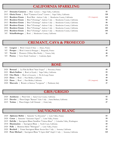#### **CALIFORNIA SPARKLING**

| 2017 Domaine Carneros   Brut Carneros   Napa Valley, California                          |                 | 55  |
|------------------------------------------------------------------------------------------|-----------------|-----|
| 2015 Gloria Ferrer   Rosé "Carneros Cuvee" Carneros   Napa Valley, California            |                 | 120 |
| 2015 Roederer Estate<br>Rosé Brut <i>Anderson Valley</i>   Mendocino County, California  | $1.5L$ (magnum) | 125 |
| Brut "L'Ermitage" Anderson Valley   Mendocino County, California<br>2015 Roederer Estate |                 | 99  |
| 2013 Roederer Estate<br>Brut "L'Ermitage" Anderson Valley   Mendocino County, California |                 | 99  |
| Brut "L'Ermitage" Anderson Valley   Mendocino County, California<br>2009 Roederer Estate |                 | 175 |
| Brut "L'Ermitage" Anderson Valley   Mendocino County, California<br>2004 Roederer Estate |                 | 185 |
| Brut "L'Ermitage" Anderson Valley   Mendocino County, California<br>2002 Roederer Estate |                 | 195 |
| NV Scharffenberger<br>Rosé   Mendocino County, California                                |                 | 55  |
|                                                                                          |                 |     |

#### **CREMANT, CAVA & PROSECCO**

| NV Laugner   Rosé Cremant d'Alsace   Alsace, France                | 47 |
|--------------------------------------------------------------------|----|
| NV Prosper   Rosé Cremant de Bourgogne   Burgundy, France          | 45 |
| NV <b>Trecini</b>   Prosecco (Tiffany Blue Bottle)   Veneto, Italy | 48 |
| NV <b>Poema</b>   Cava Metodo Tradicional   Catalonia, Spain       | 39 |

#### **Bertaud** | La Fêté du Rosé "Saint Tropez" | Provence, France **49 Black Stallion** | Rosé (of Syrah) | Napa Valley, California **59 Clos Marie** | Rosé (of Grenache) | Pic-St-Loup, France **48 Daou** | Rosé | Paso Robles, California **49 Daou** | Rosé | Paso Robles, California 1.5L (magnum) **98 Maccario** | Rosato (of Barbera) "Lavignone" | Piedmont, Italy **37 ROSÉ**

#### **GRIS/GRIGIO**

| 2020 Assiduous   Pinot Gris   Santa Cruz County, California                  | 42 |
|------------------------------------------------------------------------------|----|
| 2019 Deovlet   Pinot Grigio "Ramato" Edna Valley   Santa Barbara, California | 59 |
| 2019 Terlato   Pinot Grigio Colli Orientale   Friuli, Italy                  |    |

#### **SAUVIGNON BLANC**

| 2020 <b>Alphonse Mellot</b>   Sancerre "La Moussière"   Loire Valley, France             | 65. |
|------------------------------------------------------------------------------------------|-----|
| 2020 Cottat   Sancerre "Anciennes Vignes"   Loire Valley, France                         | 59  |
| 2019 DeLille   Sauvignon Blanc/Semillon "Chaleur Blanc"   Columbia Valley, Washington    | 52  |
| 2018 Illumination   Sauvignon Blanc   North Coast, California                            | 59  |
| 2020 Pelle   Menetou-Salon "Morogues"   Loire Valley, France                             | 47  |
| 2020 <b>Rochioli</b>   Estate Sauvignon Blanc Russian River Valley   Sonoma, California  | 99  |
| 2020 Peter Michael   Sauvignon Blanc "L'Après-Midi" Knight's Valley   Sonoma, California | 125 |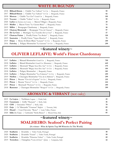#### **WHITE BURGUNDY**

| 2018 Billaud-Simon   Chablis "Les Vaillons" 1er Cru   Burgundy, France      | 99  |
|-----------------------------------------------------------------------------|-----|
| 2017 Billaud-Simon   Chablis "Les Vaillons" 1er Cru   Burgundy, France      | 82  |
| 2018 <b>Moreau</b>   Chablis "Les Clos" <i>Grand Cru</i>   Burgundy, France | 199 |
| 2019 Vocoret   Chablis "Vaillon" 1er Cru   Burgundy, France                 | 99  |
| 2020 Lafon (by Heritiers du Comte)   Macon-Villages   Burgundy, France      | 49  |
| 2019 Maillet   Macon Verze "Le Chemin Blanc"   Burgundy, France             | 75  |
| 2019 Millot   Bourgogne Chardonnay   Burgundy, France                       | 50  |
| 2019 Chateau Meursault   Bourgogne "Clos de Chateau"   Burgundy, France     | 97  |
| 2018 De La Cree   Montagny "Les Tourelles De La Cree"   Burgundy, France    | 57  |
| 2017 Chateau Fuisse   Pouilly Fuisse "Les Brules"   Burgundy, France        | 120 |
| 2019 Saumaize   Pouilly Fuisse "Vignes Blanches"   Burgundy, France         | 79  |
| 2019 Dujac   Morey-St-Denis Blanc "Luisants" 1er Cru   Burgundy, France     | 399 |
| 2016 Faiveley   Puligny-Montrachet "La Garenne" 1er Cru   Burgundy, France  | 299 |
|                                                                             |     |

#### **~featured winery~**

# **OLIVIER LEFLAIVE: World's Finest Chardonnay**

| 2017 Leflaive   Bâtaard-Montrachet Grand Cru   Burgundy, France                    | 799        |
|------------------------------------------------------------------------------------|------------|
| Bâtard-Montrachet <i>Grand Cru</i> (Domaine)   Burgundy, France<br>$2018$ Leflaive | 649        |
| 2017 Leflaive   Meursault "Blagny Sous Dos Ane" 1er Cru   Burgundy, France         | 179        |
| 2016 Leflaive   Meursault "Blagny Sous Dos Ane" 1er Cru   Burgundy, France         | 199        |
| 2018 Leflaive   Puligny-Montrachet   Burgundy, France                              | 185        |
| 2018 Leflaive   Puligny-Montrachet "Les Folatieres" 1er Cru   Burgundy, France     | 299        |
| 2019 Niellon   Chassagne-Montrachet "Clos de la Maltroie"   Burgundy, France       | <b>299</b> |
| 2015 <b>Prieur</b>   Beaune "Clos de la Feguine" 1er Cru   Burgundy, France        | 219        |
| 2015 Prieur   Beaune "Greves" 1er Cru   Burgundy, France                           | 222        |
| 2017 Prieur   Meursault "Perrieres" 1er Cru   Burgundy, France                     | <b>399</b> |
| 2018 <b>Ramonet</b>   Chassagne-Montrachet "Morgeot" 1er Cru   Burgundy, France    | 399        |
|                                                                                    |            |

#### **AROMATIC & VIBRANT** (not oaky)

| 2019 Ca Lojera   Trebbiano Lugana   Friuli, Italy                            | 45  |
|------------------------------------------------------------------------------|-----|
| 2020 <b>Cusumano</b>   Grillo "Shamaris"   Sicily, Italy                     | 46  |
| 2020 <b>COS</b>   Grecanico "Pithos"   Sicily, Italy                         | 70  |
| 2020 <b>Gaja</b>   Ca' Marcanda "Vistamare" <i>Bolgheri</i>   Tuscany, Italy | -89 |
| 2018 <b>Huard</b>   Cour-Cheverny "Romo"   Loire Valley, France              | 46  |
| 2020 Idda (by Gaja)   Carricante "Sicilia Bianco"   Mount Etna, Italy        | 85  |

# **~featured winery~ SOALHEIRO: Seafood's Perfect Pairing**

#### **(5x winner - Wine & Spirits Top 100 Wineries In The World)**

| 2020 Soalheiro   Alvarinho   Vinho Verde, Portugal                    | 48  |
|-----------------------------------------------------------------------|-----|
| 2020 Soalheiro   Alvarinho "Granit"   Vinho Verde, Portugal           | 50  |
| 2019 Soalheiro   Alvarinho "Primeiras Vinhas"   Vinho Verde, Portugal | -60 |
| 2019 Terredora   Falanghina "Corte di Giso" Irpinia   Campania, Italy | 42  |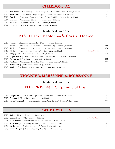#### **CHARDONNAY**

| 2017 Ann Albert   Chardonnay "Zotovich Vineyard" Santa Rita Hills   Santa Barbara, California | 59  |
|-----------------------------------------------------------------------------------------------|-----|
| 2020 Assiduous   Chardonnay "Regan Vineyard"   Santa Cruz Mountains, California               | 49  |
| 2019 Deovlet   Chardonnay "Sanford & Benedict" Santa Rita Hills   Santa Barbara, California   | 79. |
| 2014 Donelan   Chardonnay "Nancie"   Sonoma Valley, California                                | 59  |
| 2019 Flowers   Chardonnay Sonoma Coast   Sonoma, California                                   | 77  |
| 2014 Hanzell   Estate Chardonnay   Sonoma Valley, California                                  | 99  |

## **~featured winery~**

## **KISTLER - Chardonnay's Coastal Heaven**

| 2019 <b>Jordan</b>   Chardonnay Russian River Valley   Sonoma, California                    | 69  |
|----------------------------------------------------------------------------------------------|-----|
| 2020 Kistler   Chardonnay "Les Noisetiers" Russian River Valley   Sonoma, California         | 120 |
| 2019 <b>Kistler</b>   Chardonnay "Les Noisetiers" Russian River Valley   Sonoma, California  | 120 |
| 375ml (half bottle)<br>2019 Kistler   Chardonnay "Les Noisetiers"   Sonoma Coast, California | 60  |
| 2019 Kongsgaard   Chardonnay   Napa Valley, California                                       | 199 |
| 2019 Liquid Farm   Chardonnay "White Hills" Santa Rita Hills   Santa Barbara, California     | 79  |
| 2013 Pahlmeyer   Chardonnay   Napa Valley, California                                        | 165 |
| 2017 <b>Rochioli</b>   Chardonnay Russian River Valley   Sonoma County, California           | 125 |
| 2019 Rombauer   Chardonnay   Napa Valley, California                                         | 75  |
| 2019 <b>Shafer</b>   Chardonnay "Red Shoulder Ranch"   Napa Valley, California               | 99  |

#### **VIOGNIER, MARSANNE & ROUSSANNE**

## **~featured winery~**

## **THE PRISONER: Epitome of Fruit**

| 2017 Chapoutier   Crozes-Hermitage Blanc "Petite Ruche"   Rhone Valley, France     | 49  |
|------------------------------------------------------------------------------------|-----|
| 2013 Prisoner   White Blend "Blindfold"   California                               | 69  |
| 2018 Vieux Telegraphe   Chateauneuf-du-Pape Blanc "La Crau"   Rhone Valley, France | 125 |

#### **SWEET WHITES**

| 2020 Solilu   Moscato d'Asti   Piedmont, Italy                           | 49 |
|--------------------------------------------------------------------------|----|
| 2012 <b>Conundrum</b>   White Blend   California<br>3.0 liter (Jeroboam) | 65 |
| 2018 Marc Tempé   Pinot Blanc "Zellenberg Vineyard"   Alsace, France     | 60 |
| 2018 Marc Tempé   Riesling "Zellenberg Vineyard"   Alsace, France        | 65 |
| 2019 Dr. Loosen   Riesling "Sonnenuhr" Spatlese   Mosel, Germany         | 65 |
| 2013 Schlumberger   Riesling "Saering" Grand Cru   Alsace, France        | 66 |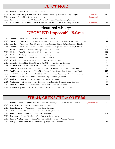## **PINOT NOIR**

| 2018 Ancien   Pinot Noir   Carneros, California                                            |                 | 65  |
|--------------------------------------------------------------------------------------------|-----------------|-----|
| 2009 Archery Summit   Estate Pinot Noir "Premier Cuvee"  <br>Willamette Valley, Oregon     | $1.5L$ (magnum) | 240 |
| 2014 Artesa   Pinot Noir   Carneros, California                                            | $1.5L$ (magnum) | 48  |
| 2020 Assiduous   Pinot Noir "Volkmann Vineyard"   Santa Cruz Mountains, California         |                 | 60  |
| 2017 Belle Glos   Pinot Noir "Clark & Telephone Vineyard"   Santa Maria Valley, California | $1.5L$ (magnum) | 150 |

# **~featured winery~ DEOVLET: Impeccable Balance**

|      | 2019 Deovlet   Pinot Noir   Santa Barbara County, California                                             | 79  |
|------|----------------------------------------------------------------------------------------------------------|-----|
| 2019 | <b>Deovlet</b>   Pinot Noir "La Encantada Vineyard" Santa Rita Hills   Santa Barbara County, California  | 115 |
| 2019 | Pinot Noir "Zotovich Vineyard" Santa Rita Hills   Santa Barbara County, California<br>Deovlet            | 99  |
| 2018 | Pinot Noir "Zotovich Vineyard" Santa Rita Hills   Santa Barbara County, California<br>Deovlet            | 99  |
| 2020 | Kistler<br>Pinot Noir Russian River Valley   Sonoma, California                                          | 135 |
| 2019 | Pinot Noir Russian River Valley   Sonoma, California<br>Kistler                                          | 140 |
| 2019 | Pinot Noir Sonoma Coast   Sonoma, California<br>Kistler                                                  | 135 |
| 2018 | Kistler<br>Pinot Noir Sonoma Coast   Sonoma, California                                                  | 140 |
| 2019 | Melville  <br>Pinot Noir Santa Rita Hills   Santa Barbara, California                                    | 57  |
| 2019 | Pinot Noir "Block M" Santa Rita Hills   Santa Barbara, California<br>Melville $\parallel$                | 99  |
| 2018 | <b>Mount Eden</b>   Estate Pinot Noir   Santa Cruz Mountians, California                                 | 125 |
| 2020 | <b>Occidental</b> (by Steve Kistler)   Pinot Noir "Freestone" Sonoma Coast   Sonoma, California          | 89  |
| 2020 | <b>Occidental</b> (by Steve Kistler)   Pinot Noir "Bodega Ridge" Sonoma Coast   Sonoma, California       | 225 |
| 2020 | <b>Occidental</b> (by Steve Kistler)   Pinot Noir "Occidental Station" Sonoma Coast   Sonoma, California | 225 |
| 2017 | <b>Rochioli</b>   Estate Pinot Noir Russian River Valley   Sonoma, California                            | 165 |
| 2019 | <b>Sanford</b>   Pinot Noir Santa Rita Hills   Santa Barbara, California                                 | 59  |
| 2016 | <b>Sea Smoke</b>   Estate Pinot Noir "Southing" Santa Rita Hills   Santa Barbara, California             | 275 |
| 2017 | <b>Sojourn</b>   Pinot Noir "Gap's Crown" Sonoma Coast   Sonoma, California                              | 115 |
|      | 2014 Whetstone   Pinot Noir "Walala Vineyard" Sonoma Coast   Sonoma, California                          | 95  |
|      |                                                                                                          |     |

## **SYRAH, GRENACHE & OTHERS**

| 2009 <b>Amapola Creek</b>   Syrah-Grenache "Cuvee Alis" (first vintage)   Sonoma Valley, California<br>farmed organically | 90  |
|---------------------------------------------------------------------------------------------------------------------------|-----|
| 2019 Arnot-Roberts   Syrah   Sonoma Coast, California                                                                     | 75  |
| 2019 Arnot-Roberts   Trousseau   North Coast, California                                                                  | 59  |
| 2012 Eberle   Syrah "Steinbeck Vineyard"   Paso Robles, California                                                        | 45  |
| 2017 Shafer   Syrah "Relentless"   Napa Valley, California                                                                | 165 |
| 2018 Torbreck   Shiraz "Woodcutter's"   Barossa Valley, Australia                                                         | 44  |
| 2013 Terlato & Chapoutier   Shiraz "Lieu-Dit Malakoff" Pyrenees   Victoria, Australia                                     | 75  |
| 2019 Turley   Petite Sirah "Hayne Vineyard"   Napa Valley, California                                                     | 150 |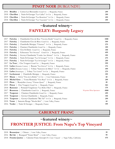### **PINOT NOIR** (BURGUNDY)

| 2016 Briailles   Corton Les Bressandes Grand Cru   Burgundy, France                 | 299 |
|-------------------------------------------------------------------------------------|-----|
| 2018 Chevillon   Nuits-St-Georges "Les Cailles" 1er Cru   Burgundy, France          | 399 |
| 2018 <b>Chevillon</b>   Nuits-St-Georges "Les Roncières" 1er Cru   Burgundy, France | 299 |
| 2018 Chevillon   Nuits-St-Georges "Les Vaucrains" 1er Cru   Burgundy, France        | 399 |

# **~featured winery~ FAIVELEY: Burgundy Legacy**

| 2017 | Chambertin-Clos de Bèze "Ouvrées Rodin" Grand Cru   Burgundy, France<br>Faiveley   | 1500 |
|------|------------------------------------------------------------------------------------|------|
| 2017 | Faiveley<br>Chambertin-Clos de Bèze Grand Cru   Burgundy, France                   | 599  |
| 2014 | Chambolle-Musigny "Charmes" 1er Cru   Burgundy, France<br>Faiveley                 | 275  |
| 2014 | Faiveley<br>Charmes-Chambertin Grand Cru   Burgundy, France                        | 399  |
| 2014 | Clos-St-Denis Grand Cru   Burgundy, France<br>Faiveley                             | 350  |
| 2018 | Echezeaux "En Orveaux" Grand Cru   Burgundy, France<br>Faiveley                    | 699  |
| 2018 | Gevrey-Chambertin "Combe Aux Moines" 1er Cru   Burgundy, France<br><b>Faiveley</b> | 199  |
| 2017 | Faiveley<br>Nuits-St-Georges "Les St Georges" 1er Cru   Burgundy, France           | 275  |
| 2016 | Nuits-St-Georges "Les St Georges" 1er Cru   Burgundy, France<br><b>Faiveley</b>    | 299  |
| 2017 | <b>La Tour</b>   Clos Vougeot <i>Grand Cru</i>   Burgundy, France                  | 599  |
| 2018 | <b>Lafon</b> (Domaine Comtes)   Beaune "Les Greves" 1er Cru   Burgundy, France     | 175  |
| 2010 | Lafon (Domaine Comtes)   Volnay "Santenots du Milieu" 1er Cru   Burgundy, France   | 499  |
| 2018 | <b>Lafon</b> (Dominique)   Volnay "Les Lurets" 1er Cru   Burgundy, France          | 275  |
| 2017 | <b>Lecheneaut</b>   Chambolle-Musigny   Burgundy, France                           | 199  |
| 2019 | Masse   Givry "Clos de la Brûlée" 1er Cru   Cote Chalonnaise, France               | 60   |
| 2018 | <b>Michel Gros</b>   Vosne-Romanée "Clos Reas" 1er Cru   Burgundy, France          | 299  |
| 2019 | Piron  <br>Beaujolias (Gamay) "Chenas Quarz"   Burgundy, France                    | 48   |
| 2015 | <b>Prieur</b>   Clos Vougeot Grand Cru   Burgundy, France                          | 583  |
| 2018 | Ramonet  <br>Pernand-Vergelesses "Les Belles Filles"   Burgundy, France            | 179  |
| 2017 | Chambertin Grand Cru   Burgundy, France<br>Rousseau<br>98 points Wine Spectator    | 4900 |
| 2017 | Charmes-Chambertin Grand Cru   Burgundy, France<br>Taupenot                        | 499  |
| 2018 | Gevrey-Chambertin   Burgundy, France<br>Taupenot $ $                               | 150  |
| 2018 | <b>Taupenot</b>   Gevrey-Chambertin "Bel Air" 1er Cru   Burgundy, France           | 299  |
|      | Sancerre Rouge "Moulin Bele"   Loire Valley, France<br>2018 <b>Vatan</b>           | 44   |
|      | 2016 Verdet   Nuits St Georges   Burgundy, France                                  | 199  |
|      |                                                                                    |      |

## **CABERNET FRANC**

# **~featured winery~ FRONTIER JUSTICE: From Napa's Top Vineyard**

| 2018 Beausejour   Chinon   Loire Valley, France                                                 |     |
|-------------------------------------------------------------------------------------------------|-----|
| 2016 Bel Air   Bourgueil "Grant Mont"   Loire Valley, France                                    | 99. |
| 2018 Frontier Justice   Cabernet Franc Beckstoffer-Dr. Crane Vineyard   Napa Valley, California | 475 |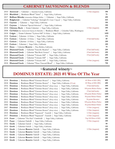## **CABERNET SAUVIGNON & BLENDS**

| 2010 | <b>Arrowood</b>   Cabernet   Sonoma County, California                                               | 1.5 liter (magnum)  | 198  |
|------|------------------------------------------------------------------------------------------------------|---------------------|------|
| 2018 | <b>Blackbird</b>   Bordeaux Blend "Arise"   Napa Valley, California                                  |                     | 75   |
| 2017 | <b>Brilliant Mistake</b> (winemaker Philippe Melka)   Cabernet   Napa Valley, California             |                     | 299  |
| 2018 | <b>Bulgheroni</b>   Cabernet "Lithology" Beckstoffer-Dr. Crane Vineyard   Napa Valley, California    |                     | 643  |
| 2019 | Cabernet   Napa Valley, California<br>Caymus                                                         |                     | 150  |
| 2019 | Cabernet "Special Selection"   Napa Valley, California<br>Caymus                                     |                     | 350  |
| 2018 | Chimney Rock   Estate Cabernet   Napa Valley, California                                             | 1.5 liter (magnum)  | 399  |
| 2008 | <b>Col Solare</b> (by Antinori & Chateau St Michelle)   Bordeaux Blend   Columbia Valley, Washington |                     | 99   |
| 2018 | <b>Colgin</b>   Estate Cabernet "Tychson Hill" St Helena   Napa Valley, California                   |                     | 1499 |
| 2018 | <b>Corison</b>   Cabernet <i>St Helena</i>   Napa Valley, California                                 |                     | 175  |
| 2018 | <b>Corison</b>   Cabernet St Helena   Napa Valley, California                                        | 375ml (half bottle) | 89   |
| 2015 | <b>Corison</b>   Cabernet <i>St Helena</i>   Napa Valley, California                                 |                     | 299  |
| 2009 | <b>Corison</b>   Cabernet   Napa Valley, California                                                  |                     | 399  |
| 2019 | Daou   Cabernet Reserve   Paso Robles, California                                                    |                     | 79   |
| 2018 | <b>Diamond Creek</b>   Cabernet "Gravelly Meadow"   Napa Valley, California                          | 375ml (half bottle) | 299  |
| 2018 | <b>Diamond Creek</b><br>Cabernet "Red Rock Terrace"   Napa Valley, California                        | 375ml (half bottle) | 299  |
| 2018 | <b>Diamond Creek</b><br>Cabernet "Volcanic Hill"   Napa Valley, California                           | 375ml (half bottle) | 299  |
| 2018 | Diamond Creek<br>Cabernet "Volcanic Hill"   Napa Valley, California                                  |                     | 599  |
| 2018 | <b>Diamond Creek</b><br>Cabernet "Volcanic Hill"   Napa Valley, California                           | 1.5 liter (magnum)  | 1199 |
|      | 2018 Diamond Creek<br>Cabernet "Three Vineyard Blend"   Napa Valley, California                      |                     | 750  |
|      |                                                                                                      |                     |      |

## **~featured winery~ DOMINUS ESTATE: 2021 #1 Wine Of The Year**

| 2018 | Bordeaux Blend "Christian Mouiex"  <br>Dominus<br>Napa Valley, California                 | #1 Wine of 2021 (WS)     | 899  |
|------|-------------------------------------------------------------------------------------------|--------------------------|------|
| 2018 | Dominus<br>Bordeaux Blend "Christian Mouiex"<br>Napa Valley, California (375 ml)          | #1 Wine of 2021 (WS)     | 499  |
| 2016 | Dominus<br>Bordeaux Blend "Christian Mouiex" (library release)<br>Napa Valley, California | 375ml (half bottle)      | 499  |
| 2015 | Dominus<br>Bordeaux Blend "Christian Mouiex" (library release)<br>Napa Valley, California | 100 points Robert Parker | 999  |
| 2014 | Dominus<br>Bordeaux Blend "Christian Mouiex" (library release)<br>Napa Valley, California | 375ml (half bottle)      | 349  |
| 2013 | Dominus<br>Bordeaux Blend "Christian Mouiex" (library release)<br>Napa Valley, California | 100 points Robert Parker | 1499 |
| 2012 | Dominus<br>Bordeaux Blend "Christian Mouiex" (library release)<br>Napa Valley, California | 98 points Robert Parker  | 699  |
| 2011 | Dominus<br>Bordeaux Blend "Christian Mouiex" (library release)<br>Napa Valley, California | 96 points Decanter       | 699  |
| 2010 | Dominus<br>Bordeaux Blend "Christian Mouiex" (library release)<br>Napa Valley, California | 100 points Robert Parker | 1199 |
| 2006 | Dominus<br>Bordeaux Blend "Christian Mouiex" (library release)<br>Napa Valley, California | 96 points Robert Parker  | 699  |
| 2007 | Dominus<br>Bordeaux Blend "Christian Mouiex" (library release)<br>Napa Valley, California | 1.5 liter (magnum)       | 999  |
| 2003 | Dominus<br>Bordeaux Blend "Christian Mouiex" (library release)<br>Napa Valley, California | 1.5 liter (magnum)       | 999  |
| 2018 | Dominus<br>Bordeaux Blend "Napanook" Yountville  <br>Napa Valley, California              | 1.5 liter (magnum)       | 350  |
| 2017 | Dominus<br>Bordeaux Blend "Napanook" Yountville  <br>Napa Valley, California              | 1.5 liter (magnum)       | 350  |
| 2018 | Faust<br>Cabernet "The Pact" Coombsville<br>Napa Valley, California                       | Top 100 Wine of 2021     | 199  |
| 2019 | Faust<br>Cabernet Oakville<br>Napa Valley, California                                     | 1.5 liter (magnum)       | 199  |
| 2016 | Groth<br>Cabernet Oakville<br>Napa Valley, California                                     |                          | 99   |
| 2014 | Groth<br>Cabernet Oakville<br>Napa Valley, California                                     |                          | 119  |
| 2015 | Cabernet Reserve Oakville<br>Groth<br>Napa Valley, California                             | 1.5 liter (magnum)       | 499  |
| 2014 | Groth<br>Cabernet Reserve Oakville<br>Napa Valley, California                             |                          | 250  |
| 2011 | Groth<br>Cabernet Reserve Oakville<br>Napa Valley, California                             |                          | 299  |
| 2010 | Cabernet Reserve Oakville<br>Groth<br>Napa Valley, California                             |                          | 399  |
| 2009 | Cabernet Reserve Oakville<br>Groth<br>Napa Valley, California                             |                          | 399  |
|      |                                                                                           |                          |      |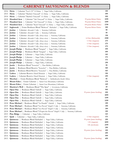## **CABERNET SAUVIGNON & BLENDS**

|      | 2016 Heitz<br>Cabernet "Lot C-91" St Helena   Napa Valley, California                        |                            | <b>150</b> |
|------|----------------------------------------------------------------------------------------------|----------------------------|------------|
| 2015 | Heitz<br>Cabernet "Martha's Vineyard" St. Helena<br>Napa Valley, California                  |                            | 499        |
| 2014 | Heitz<br>Cabernet "Martha's Vineyard" St. Helena<br>Napa Valley, California                  |                            | 599        |
| 2018 | Hundred Acre   Cabernet "Ark Vineyard" St. Helena   Napa Valley, California                  | 99 points Robert Parker    | 1599       |
| 2017 | <b>Hundred Acre</b><br>Cabernet "Ark Vineyard" St. Helena   Napa Valley, California          | 98 points Robert Parker    | 1499       |
| 2018 | Hundred Acre   Cabernet "Kayli Vineyard" St. Helena   Napa Valley, California                | 100 points Robert Parker   | 1799       |
| 2017 | Inglenook   Estate Bordeaux Blend "Rubicon" Rutherford   Napa Valley, California             | 98 points Robert Parker    | 399        |
| 2017 | Jordan<br>Cabernet Alexander Valley<br>Sonoma, California                                    |                            | 99         |
| 2016 | Jordan<br>Cabernet Alexander Valley   Sonoma, California                                     |                            | 99         |
| 2014 | Jordan<br>Cabernet Alexander Valley (library release)<br>Sonoma, California                  |                            | 138        |
| 2008 | Jordan<br>Cabernet Alexander Valley (library release)<br>Sonoma, California                  | 6.0 liter (Methuselah)     | 2500       |
| 2012 | Jordan<br>Cabernet Alexander Valley (library release)<br>Sonoma, California                  | 1.5 liter (magnum)         | 275        |
| 2011 | Jordan<br>Cabernet Alexander Valley (library release)<br>Sonoma, California                  | 1.5 liter (magnum)         | 275        |
| 2003 | Jordan<br>Cabernet Alexander Valley (library release)<br>Sonoma, California                  | 1.5 liter (magnum)         | 275        |
| 2018 | <b>Joseph Phelps</b><br>Bordeaux Blend "Insignia"   Napa Valley, California                  |                            | 599        |
| 2017 | <b>Joseph Phelps</b><br>Bordeaux Blend "Insignia"   Napa Valley, California                  |                            | 499        |
| 2019 | <b>Joseph Phelps</b><br>Cabernet   Napa Valley, California                                   |                            | 145        |
| 2016 | <b>Joseph Phelps</b><br>Cabernet   Napa Valley, California                                   |                            | 175        |
| 2014 | <b>Joseph Phelps</b><br>Cabernet   Napa Valley, California                                   |                            | 175        |
| 1999 | <b>Joseph Phelps</b><br>Cabernet   Napa Valley, California                                   |                            | 250        |
| 2018 | Bordeaux Blend "Isosceles"   Paso Robles, California<br>Justin                               |                            | 99         |
| 2013 | Justin<br>Bordeaux Blend Reserve "Isosceles"   Paso Robles, California                       |                            | 160        |
| 2012 | Bordeaux Blend Reserve "Isosceles"   Paso Robles, California<br>Justin                       |                            | 165        |
| 2013 | Cabernet Reserve Howell Mountain<br>Ladera<br>Napa Valley, California                        |                            | 150        |
| 2010 | Cabernet Reserve Howell Mountain   Napa Valley, California<br>Ladera                         | 1.5 liter (magnum)         | 299        |
| 2015 | Meerlust   Estate Bordeaux Blend "Rubicon"   Stellenbosch, South Africa                      |                            | 66         |
| 2017 | Mount Eden   Estate Cabernet   Santa Cruz Mountians, California                              |                            | 179        |
| 2012 | Mount Eden   Estate Cabernet   Santa Cruz Mountians, California                              |                            | 249        |
| 2019 | Murrieta's Well   Bordeaux Blend "The Spur"   Livermore, California                          |                            | 49         |
| 2015 | <b>Opus One</b>   Bordeaux Blend Oakville   Napa Valley, California                          |                            | 999        |
|      | 2018 Opus One   Bordeaux Blend Oakville   Napa Valley, California                            | 99 points (James Suckling) | 599        |
| 2009 | <b>Opus One</b><br>Bordeaux Blend Oakville<br>Napa Valley, California                        |                            | 1099       |
| 2008 | <b>Opus One</b><br>Bordeaux Blend Oakville<br>Napa Valley, California                        |                            | 1199       |
| 2005 | <b>Opus One</b>   Bordeaux Blend Oakville<br>Napa Valley, California                         |                            | 1299       |
| 2018 | Peter Michael   Bordeaux Blend "Au Paradis" Oakville   Napa Valley, California               |                            | 399        |
| 2019 | Peter Michael   Bordeaux Blend "Les Pavots" Knight's Valley   Sonoma, California             |                            | 399        |
| 2018 | Peter Michael   Bordeaux Blend "Les Pavots" Knight's Valley   Sonoma, California             |                            | 399        |
| 2018 | Peter Michael   Bordeaux Blend "L'Esprit des Pavots" Knight's Valley  <br>Sonoma, California |                            | 199        |
| 2015 | Pine Ridge   Cabernet   Napa Valley, California                                              |                            | 125        |
| 2017 | <b>Quilt</b>   Cabernet   Napa Valley, California                                            | 1.5 liter (magnum)         | 175        |
| 2018 | Bordeaux Blend Rutherford<br>Quintessa<br>Napa Valley, California                            | 99 points (James Suckling) | 299        |
| 2018 | Bordeaux Blend Rutherford<br>Quintessa<br>Napa Valley, California                            | 1.5L (magnum)              | 1099       |
| 2018 | Bordeaux Blend Rutherford<br>Quintessa<br>Napa Valley, California                            | 3.0L (Jeroboam)            | 2199       |
| 2017 | Bordeaux Blend Rutherford<br>Napa Valley, California<br>Quintessa                            |                            | 299        |
| 2016 | Bordeaux Blend Rutherford<br>Quintessa<br>Napa Valley, California                            | 98 points (James Suckling) | 399        |
| 2015 | Bordeaux Blend Rutherford<br>Quintessa<br>Napa Valley, California                            |                            | 499        |
| 2014 | Bordeaux Blend Rutherford<br>Napa Valley, California<br>Quintessa                            |                            | 599        |
| 2013 | Bordeaux Blend Rutherford<br>Quintessa<br>Napa Valley, California                            | 98 points (James Suckling) | 699        |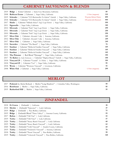## **CABERNET SAUVIGNON & BLENDS**

| 2019 | Estate Cabernet   Santa Cruz Mountains, California<br>Ridge                                |                         | 89  |
|------|--------------------------------------------------------------------------------------------|-------------------------|-----|
| 2008 | <b>Rubicon Estate</b>   Cabernet   Napa Valley, California                                 | 1.5 liter (magnum)      | 335 |
| 2019 | Schrader   Cabernet "CCS Beckstoffer To Kalon" Oakville   Napa Valley, California          | 98 points Robert Parker | 899 |
| 2018 | Schrader<br>Cabernet "CCS Beckstoffer To Kalon" Oakville   Napa Valley, California         | 100 points Jeb Dunnuck  | 999 |
| 2017 | <b>Shafer</b>   Cabernet "Hillside Select" Stag's Leap District   Napa Valley, California  |                         | 599 |
| 2011 | Signorello   Napa Valley, California                                                       |                         | 140 |
| 2012 | Silverado  <br>Cabernet "Solo" Stag's Leap District   Napa Valley, California              |                         | 250 |
| 2011 | Silverado<br>Cabernet "Solo" Stag's Leap District   Napa Valley, California                |                         | 250 |
| 2010 | Silverado  <br>Cabernet "Solo" Stag's Leap District   Napa Valley, California              |                         | 250 |
| 2017 | Silver Oak<br>Cabernet Alexander Valley   Sonoma, California                               |                         | 149 |
| 2012 | Silver Oak<br>Cabernet Alexander Valley   Sonoma, California                               |                         | 249 |
| 2017 | Silver Oak<br>  Cabernet   Napa Valley, California                                         |                         | 249 |
| 2018 | <b>Snowden</b>   Cabernet "The Ranch"   Napa Valley, California                            |                         | 79  |
| 2013 | Stardust   Cabernet "Dellar & Friedkin Vineyard"   Napa Valley, California                 |                         | 149 |
| 2014 | <b>Stardust</b>   Cabernet "Dellar & Friedkin Vineyard"   Napa Valley, California          |                         | 149 |
| 2015 | Stardust   Cabernet "Dellar & Friedkin Vineyard"   Napa Valley, California                 |                         | 149 |
| 2015 | The Prisoner   Red Blend "Derange"   Napa Valley, California                               |                         | 150 |
| 2017 | To Kalon (by Andy Erickson)   Cabernet "Highest Beauty" Oakville   Napa Valley, California |                         | 350 |
| 2018 | Vineyard 29   Cabernet "Ceanda" St. Helena   Napa Valley, California                       |                         | 199 |
| 2018 | Vineyard 29   Cabernet "Cru"   Napa Valley, California                                     |                         | 99  |
| 2018 | Wente   Cabernet "Wetmore Vineyard"   Livermore, California                                |                         | 42  |
|      | 2008 White Oak   Cabernet   Napa Valley, California                                        | 1.5 liter (magnum)      | 299 |

# **MERLOT**

| 2017 Pedestal (by Michel Rolland)   Merlot "Long Shadows"   Columbia Valley, Washington | 99 |
|-----------------------------------------------------------------------------------------|----|
| 2016 <b>Rombauer</b>   Merlot   Napa Valley, California                                 | 85 |
| 2019 Rutherford Hill   Merlot   Napa Valley, California                                 | 55 |

## **ZINFANDEL**

| 2018 Et Cetera   Zinfandel   California                                   | 38  |
|---------------------------------------------------------------------------|-----|
| 2018 Mettler   Zinfandel "Epicenter"   Lodi, California                   | 47  |
| 2019 Ridge   Zinfandel   Paso Robles, California                          | 75  |
| 2019 Ridge   Zinfandel Blend "Three Valleys"   Sonoma County, California  | 59  |
| 2017 Rubus   Zinfandel "Old Vine"   Lodi, California                      | 42  |
| 2019 Turley   Zinfandel "Old Vines"   Lodi, California                    | 57  |
| 2020 Turley   Zinfandel "Steacy Ranch Vineyard"   Lodi, California        | 60  |
| 2019 Turley   Zinfandel "Steacy Ranch Vineyard"   Lodi, California        | 62  |
| 2020 Turley   Zinfandel "Cobb Vineyard"   Amador County, California       | 69  |
| Zinfandel "Frederick's Vineyard"   Sonoma, California<br>$2019$ Turley    | 78  |
| Zinfandel "Psenti Vineyard"   Paso Robles, California<br>$2018$ Turley    | 99  |
| Zinfandel "Ueberroth Vineyard"   Paso Robles, California<br>$2019$ Turley | 120 |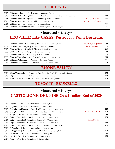#### **BORDEAUX**

| 2015 Château de Pez   Saint-Estèphe   Bordeaux, France                                    |                            | 99   |
|-------------------------------------------------------------------------------------------|----------------------------|------|
| 2018 Château Pichon Longueville   Pauillac "Reserve de la Comtesse"  <br>Bordeaux, France |                            | 140  |
| 2018 Château Pichon Longueville   Pauillac   Bordeaux, France                             | #2 Top 100 of 2021         | 599  |
| 2015 Château Angelus   Saint-Emilion   Bordeaux, France                                   | 99 points (Wine Spectator) | 1199 |
| 2016 Château Giscours   Margaux   Bordeaux, France                                        |                            | 175  |
| 2015 Château Larivet Haut Brion   Pessac-Leognan   Bordeaux, France                       |                            | 99   |
|                                                                                           |                            |      |

#### **~featured winery~**

## **LEOVILLE-LAS CASES: Perfect 100 Point Bordeaux**

| 599  |
|------|
| 299  |
| 1299 |
| 1299 |
| 599  |
| 125  |
| 275  |
|      |
|      |

#### **RHONE VALLEY**

| 2018 Vieux Telegraphe   Chateauneuf-du-Pape "La Crau"   Rhone Valley, France | 175 |
|------------------------------------------------------------------------------|-----|
| 2013 Voge   Cornas "Les Chailles"   Northern Rhone, France                   | 120 |
| 2013 Voge   Cornas "Les Vieilles Vignes"   Northern Rhone, France            | 108 |

## **TUSCANY - BRUNELLO**

## **~featured winery~**

#### **CASTIGLIONE DEL BOSCO: #2 Italian Red of 2020**

|      | 2016 <b>Capanna</b>   Brunello di Montalcino   Tuscany, Italy                                              | 99  |
|------|------------------------------------------------------------------------------------------------------------|-----|
|      | 2015 Capanna   Brunello di Montalcino   Tuscany, Italy                                                     | 99  |
|      | 2013 Castiglion del Bosco   Brunello di Montalcino   Tuscany, Italy                                        | 125 |
|      | #2 Italian Red of 2020<br>2016 Castiglion del Bosco   Brunello di Montalcino   Tuscany, Italy              | 150 |
| 2009 | <b>Fuligni</b>   Brunello di Montalcino   Tuscany, Italy                                                   | 115 |
|      | 2013 Gaja   Brunello Di Montalcino "Restituta"   Tuscany, Italy                                            | 150 |
|      | Brunello Di Montalcino "Restituta"   Tuscany, Italy<br>2016 <b>Gaja</b> $\parallel$<br>375ml (half bottle) | 70  |
|      | 2016 Gaja   Brunello Di Montalcino "Restituta"   Tuscany, Italy                                            | 140 |
|      | 2016 Gaja   Brunello Di Montalcino Riserva "Rennina"   Tuscany, Italy                                      | 299 |
|      | 2018 Il Poggione   Rosso di Montalcino   Tuscany, Italy                                                    | 56  |
|      | 2012 Il Poggione   Riserva Brunello di Montalcino   Tuscany, Italy                                         | 199 |
|      | 2016 La Fiorita   Brunello di Montalcino   Tuscany, Italy                                                  | 129 |
|      | 2016 Landi   Brunello di Montalcino   Tuscany, Italy                                                       | 135 |
|      | 2014 Prata   Brunello di Montalcino  <br>Tuscany, Italy                                                    | 89  |
|      |                                                                                                            |     |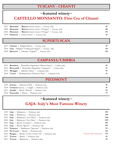## **TUSCANY - CHIANTI**

## **~featured winery~ CASTELLO MONSANTO: First Cru of Chianti**

| 2017 Monsanto   Riserva Chianti Classico   Tuscany, Italy                           | 60. |
|-------------------------------------------------------------------------------------|-----|
| 2009 <b>Monsanto</b>   <b>Riserva</b> Chianti Classico "Il Poggio"   Tuscany, Italy | 140 |
| 2016 Monsanto   Riserva Chianti Classico "Il Poggio"   Tuscany, Italy               | 135 |
| 2018 <b>Panaretta</b>   Chianti Classico   Tuscany, Italy                           | 49. |

**SUPERTUSCAN**

| 2017 Colonne   Bolgheri Rosso   Tuscany, Italy             |            |
|------------------------------------------------------------|------------|
| 2014 Gaja   Bolgheri "Ca'Marcanda Magari"   Tuscany, Italy | 110        |
| 2009 <b>Querceto</b>   Cabernet "Cignale"   Tuscany, Italy | <b>120</b> |

#### **CAMPANIA/UMBRIA**

| 2015 Benedetti   Montefalco Sagrantino "Miracolo Rosso"   Umbria, Italy |    |
|-------------------------------------------------------------------------|----|
| 2014 Broccatelli   Montefalco Sagrantino "Antigniano"   Umbria, Italy   | 57 |
| 2015 Meriggio   Aglianico Irpinia   Campania, Italy                     | 39 |
| 2019 <b>I Lauri</b>   Montepulciano d'Abruzzo "Bajo"   Campania, Italy  |    |

#### **PIEDMONT**

| 2019 Scavino   Dolcetto d'Alba   Piedmont, Italy          | 40 |
|-----------------------------------------------------------|----|
| 2019 <b>Conterno</b> (Daniele)   Langhe   Piedmont, Italy | 56 |
| 2015 <b>Arnulfo</b>   Barolo "Bussia"   Piedmont, Italy   | 99 |
| 2016 <b>Fenocchio</b>   Barolo   Piedmont, Italy          | 79 |

## **~featured winery~ GAJA: Italy's Most Famous Winery**

| 2015 Gaja   Barbaresco   Piedmont, Italy                                                            | 359  |
|-----------------------------------------------------------------------------------------------------|------|
| 2012 <b>Gaja</b>   Barbaresco   Piedmont, Italy                                                     | 399  |
| 2015 Gaja   Barbaresco "Sori Tilden"   Piedmont, Italy                                              | 1199 |
| Barbaresco "Sori Tilden"   Piedmont, Italy<br>$2003$ Gaja                                           | 1199 |
| 2014 Gaja   Barolo "Conteisa"   Piedmont, Italy                                                     | 499  |
| 2014 Gaja   Barolo "Sperss"   Piedmont, Italy                                                       | 599  |
| 2016 Pertinace   Barbaresco "Marcarini"   Piedmont, Italy                                           | 99   |
| 2016 <b>Pio Cesare</b>   Barolo   Piedmont, Italy                                                   | 145  |
| 99 points (Wine Enthusiast)<br>2015 <b>Roagna</b>   Barolo "La Pira Vecchie Viti"   Piedmont, Italy | 375  |
| Barolo   Piedmont, Italy<br>$2017$ Terzeto                                                          | 69   |
| Barbaresco  <br>Piedmont, Italy<br>2013 Terzeto                                                     | 49   |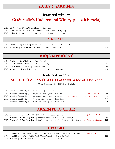#### **SICILY & SARDINIA**

## **~featured winery~ COS: Sicily's Undergound Winery (no oak barrels)**

| 2019 <b>COS</b>   Nero d'Avola "Nero di Lupo"   Sicily, Italy                   | 52 |
|---------------------------------------------------------------------------------|----|
| 2017 COS   Frappato/Nero d'Avola Cerasuolo di Vittoria Classico   Sicily, Italy | 64 |
| 2018 <b>IDDA (by Gaja)</b>   Nerello Mascalese "Etna Rosso"   Mount Etna, Italy |    |

#### **VENETO**

| 2017 Veneti   Valpolicella Ripasso "La Casetta" Classico Superiore   Veneto, Italy |  |
|------------------------------------------------------------------------------------|--|
| 2013 Venturini   Amarone Della Valpolicella Classico   Veneto, Italy               |  |

| <b>RIOJA &amp; PRIORAT</b>                                              |     |
|-------------------------------------------------------------------------|-----|
| 2014 <b>Abella</b>   Priorat "Loidana"   Catalonia, Spain               | 49  |
| 2019 Clos Erasmus   Priorat "Laurel"   Catalonia, Spain                 | 99  |
| 2019 Clos Erasmus   Priorat   Catalonia, Spain                          | 499 |
| 2010 Marques de Riscal   Rioja "Baron de Chirel" Reserva   Rioja, Spain | 150 |

#### **~featured winery~**

#### **MURRIETA CASTILLO YGAY: #1 Wine of The Year**

**(Wine Spectator's Top 100 Wines Of 2021)**

|                             | 2016 Murrieta Castillo Ygay   Rioja Reserva   Rioja, Spain                                  |              |                         | 62   |
|-----------------------------|---------------------------------------------------------------------------------------------|--------------|-------------------------|------|
|                             | 2010 Murrieta Castillo Ygay   Rioja Gran Reserva Especial   Rioja, Spain                    |              | $\#1$ Wine of 2020 (WS) | 695  |
|                             | 2010 Murrieta Castillo Ygay   Rioja Gran Reserva Especial   Rioja, Spain (1.5 liter magnum) |              | $\#1$ Wine of 2020 (WS) | 1295 |
|                             | 2009 Murrieta Castillo Ygay   Rioja Gran Reserva Especial   Rioja, Spain                    |              |                         | 495  |
| 2007 Murrieta Castillo Ygay | Rioja Gran Reserva Especial                                                                 | Rioja, Spain |                         | 495  |
|                             |                                                                                             |              |                         |      |

#### **ARGENTINA/CHILE**

| 2018 Clos de la Siete   Malbec Blend Uco Valley   Mendoza, Argentina                                                       | Top $100$ Wine of $2021$ | 48  |
|----------------------------------------------------------------------------------------------------------------------------|--------------------------|-----|
| 2005 Rothschild & Concha y Toro   Bordeaux Blend "Almaviva"   Maipo Valley, Chile                                          |                          | 299 |
| 2015 Rothschild & Concha y Toro   Bordeaux Blend "Almaviva" 20th Anniversary   Maipo Valle 100 Points (James Suckling) 299 |                          |     |

#### **DESSERT**

 **Bouchaine** | Late Harvest Chardonnay "Bouche d'Or" *Carneros* | Napa Valley, California 500ml (2/3 bottle) **66 Inniskillin** | Ice Wine "Vidal Pearl" *Niagara Peninsula* | Ontario, California 375ml (1/2 bottle) **128 Navarro** | Muscat Blanc "Late Harvest" *Anderson Valley* | Mendocino, California **75**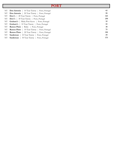#### **PORT**

| NV Don Antonia   10 Year Tawny   Porto, Portugal  | 62  |
|---------------------------------------------------|-----|
| NV Don Antonia   20 Year Tawny   Porto, Portugal  | 99  |
| NV Dow's   20 Year Tawny   Porto, Portugal        | 125 |
| NV Dow's   30 Year Tawny   Porto, Portugal        | 250 |
| NV Graham's   Ruby Port Reserve   Porto, Portugal | 32  |
| NV Graham's   10 Year Tawny   Porto, Portugal     | 55  |
| NV Ramos Pinto   Ruby   Porto, Portugal           | 38  |
| NV Ramos Pinto   10 Year Tawny   Porto, Portugal  | 75  |
| NV Ramos Pinto   20 Year Tawny   Porto, Portugal  | 150 |
| NV Sandeman   10 Year Tawny   Porto, Portugal     | 59  |
| NV Sandeman   30 Year Tawny   Porto, Portugal     | 175 |
|                                                   |     |